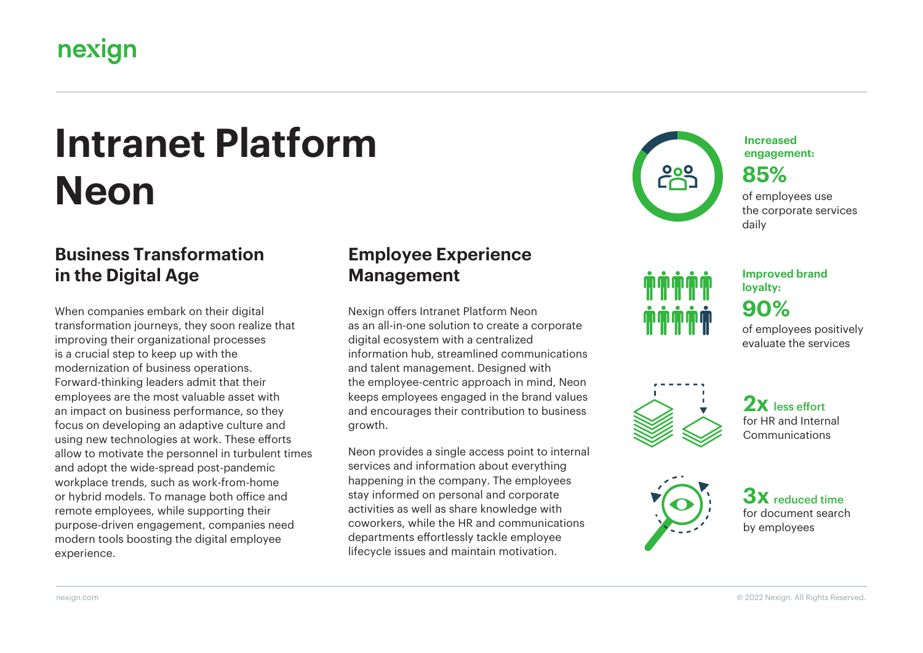## nexign

# **Intranet Platform Neon**

#### **Business Transformation in the Digital Age**

When companies embark on their digital transformation journeys, they soon realize that improving their organizational processes is a crucial step to keep up with the modernization of business operations. Forward-thinking leaders admit that their employees are the most valuable asset with an impact on business performance, so they focus on developing an adaptive culture and using new technologies at work. These efforts allow to motivate the personnel in turbulent times and adopt the wide-spread post-pandemic workplace trends, such as work-from-home or hybrid models. To manage both office and remote employees, while supporting their purpose-driven engagement, companies need modern tools boosting the digital employee experience.

### **Employee Experience Management**

Nexign offers Intranet Platform Neon as an all-in-one solution to create a corporate digital ecosystem with a centralized information hub, streamlined communications and talent management. Designed with the employee-centric approach in mind, Neon keeps employees engaged in the brand values and encourages their contribution to business growth.

Neon provides a single access point to internal services and information about everything happening in the company. The employees stay informed on personal and corporate activities as well as share knowledge with coworkers, while the HR and communications departments effortlessly tackle employee lifecycle issues and maintain motivation.



**Increased engagement:** 

**85%**

of employees use the corporate services daily

of employees positively **90% Improved brand loyalty:** 

evaluate the services

2x less effort for HR and Internal Communications



**3X** reduced time for document search by employees